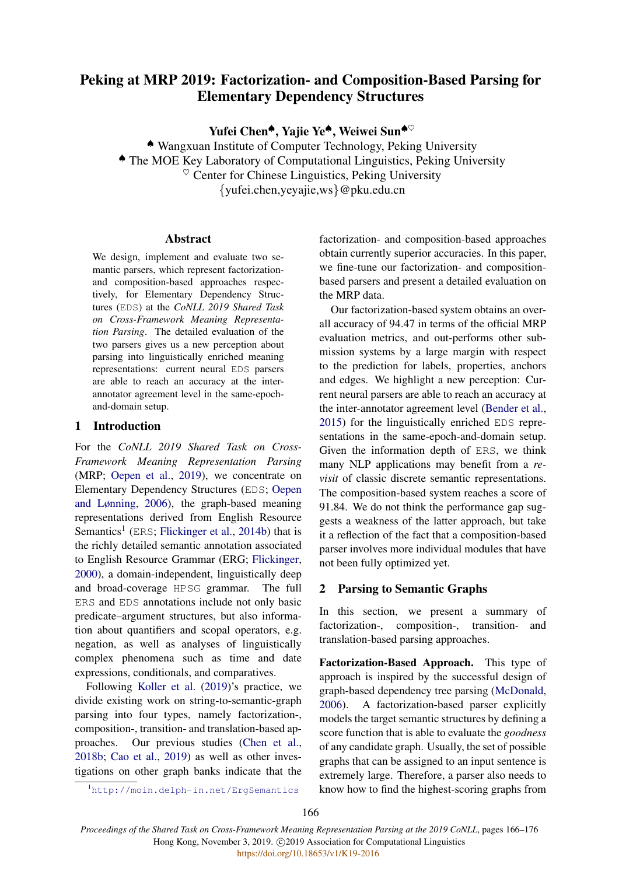# Peking at MRP 2019: Factorization- and Composition-Based Parsing for Elementary Dependency Structures

Yufei Chen<sup>◆</sup>, Yajie Ye<sup>◆</sup>, Weiwei Sun<sup>◆♡</sup>

♠ Wangxuan Institute of Computer Technology, Peking University ♠ The MOE Key Laboratory of Computational Linguistics, Peking University  $\heartsuit$  Center for Chinese Linguistics, Peking University {yufei.chen,yeyajie,ws}@pku.edu.cn

### Abstract

We design, implement and evaluate two semantic parsers, which represent factorizationand composition-based approaches respectively, for Elementary Dependency Structures (EDS) at the *CoNLL 2019 Shared Task on Cross-Framework Meaning Representation Parsing*. The detailed evaluation of the two parsers gives us a new perception about parsing into linguistically enriched meaning representations: current neural EDS parsers are able to reach an accuracy at the interannotator agreement level in the same-epochand-domain setup.

# 1 Introduction

For the *CoNLL 2019 Shared Task on Cross-Framework Meaning Representation Parsing* (MRP; [Oepen et al.,](#page-9-0) [2019\)](#page-9-0), we concentrate on Elementary Dependency Structures (EDS; [Oepen](#page-9-1) [and Lønning,](#page-9-1) [2006\)](#page-9-1), the graph-based meaning representations derived from English Resource Semantics<sup>[1](#page-0-0)</sup> (ERS; [Flickinger et al.,](#page-8-0) [2014b\)](#page-8-0) that is the richly detailed semantic annotation associated to English Resource Grammar (ERG; [Flickinger,](#page-8-1) [2000\)](#page-8-1), a domain-independent, linguistically deep and broad-coverage HPSG grammar. The full ERS and EDS annotations include not only basic predicate–argument structures, but also information about quantifiers and scopal operators, e.g. negation, as well as analyses of linguistically complex phenomena such as time and date expressions, conditionals, and comparatives.

Following [Koller et al.](#page-8-2) [\(2019\)](#page-8-2)'s practice, we divide existing work on string-to-semantic-graph parsing into four types, namely factorization-, composition-, transition- and translation-based approaches. Our previous studies [\(Chen et al.,](#page-8-3) [2018b;](#page-8-3) [Cao et al.,](#page-8-4) [2019\)](#page-8-4) as well as other investigations on other graph banks indicate that the

factorization- and composition-based approaches obtain currently superior accuracies. In this paper, we fine-tune our factorization- and compositionbased parsers and present a detailed evaluation on the MRP data.

Our factorization-based system obtains an overall accuracy of 94.47 in terms of the official MRP evaluation metrics, and out-performs other submission systems by a large margin with respect to the prediction for labels, properties, anchors and edges. We highlight a new perception: Current neural parsers are able to reach an accuracy at the inter-annotator agreement level [\(Bender et al.,](#page-8-5) [2015\)](#page-8-5) for the linguistically enriched EDS representations in the same-epoch-and-domain setup. Given the information depth of ERS, we think many NLP applications may benefit from a *revisit* of classic discrete semantic representations. The composition-based system reaches a score of 91.84. We do not think the performance gap suggests a weakness of the latter approach, but take it a reflection of the fact that a composition-based parser involves more individual modules that have not been fully optimized yet.

# 2 Parsing to Semantic Graphs

In this section, we present a summary of factorization-, composition-, transition- and translation-based parsing approaches.

Factorization-Based Approach. This type of approach is inspired by the successful design of graph-based dependency tree parsing [\(McDonald,](#page-9-2) [2006\)](#page-9-2). A factorization-based parser explicitly models the target semantic structures by defining a score function that is able to evaluate the *goodness* of any candidate graph. Usually, the set of possible graphs that can be assigned to an input sentence is extremely large. Therefore, a parser also needs to know how to find the highest-scoring graphs from

<span id="page-0-0"></span><sup>1</sup><http://moin.delph-in.net/ErgSemantics>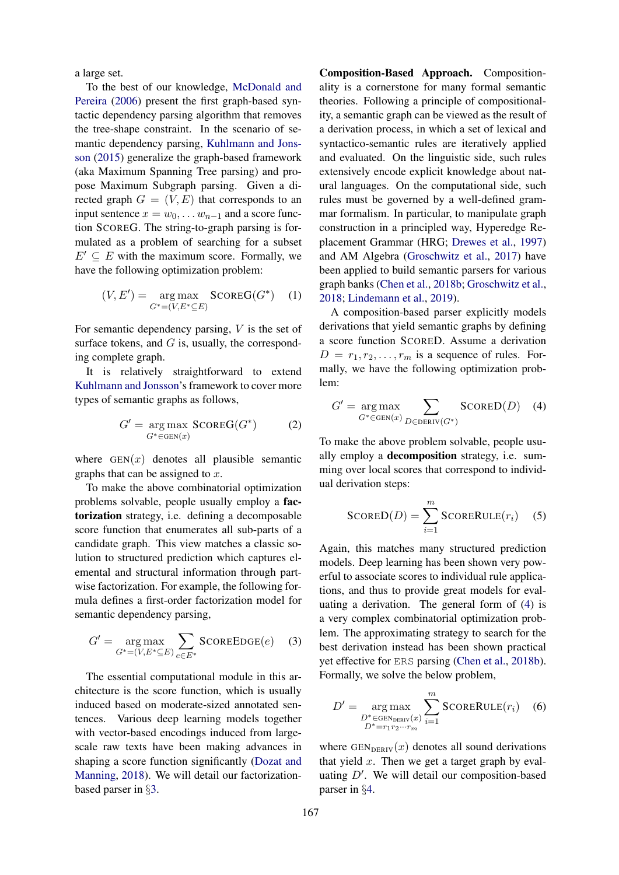a large set.

To the best of our knowledge, [McDonald and](#page-9-3) [Pereira](#page-9-3) [\(2006\)](#page-9-3) present the first graph-based syntactic dependency parsing algorithm that removes the tree-shape constraint. In the scenario of semantic dependency parsing, [Kuhlmann and Jons](#page-9-4)[son](#page-9-4) [\(2015\)](#page-9-4) generalize the graph-based framework (aka Maximum Spanning Tree parsing) and propose Maximum Subgraph parsing. Given a directed graph  $G = (V, E)$  that corresponds to an input sentence  $x = w_0, \dots w_{n-1}$  and a score function SCOREG. The string-to-graph parsing is formulated as a problem of searching for a subset  $E' \subseteq E$  with the maximum score. Formally, we have the following optimization problem:

$$
(V, E') = \underset{G^* = (V, E^* \subseteq E)}{\arg \max} \text{SCOREG}(G^*) \quad (1)
$$

For semantic dependency parsing,  $V$  is the set of surface tokens, and  $G$  is, usually, the corresponding complete graph.

It is relatively straightforward to extend [Kuhlmann and Jonsson'](#page-9-4)s framework to cover more types of semantic graphs as follows,

$$
G' = \underset{G^* \in \text{GEN}(x)}{\text{arg max}} \text{SCOREG}(G^*) \tag{2}
$$

where  $GEN(x)$  denotes all plausible semantic graphs that can be assigned to  $x$ .

To make the above combinatorial optimization problems solvable, people usually employ a factorization strategy, i.e. defining a decomposable score function that enumerates all sub-parts of a candidate graph. This view matches a classic solution to structured prediction which captures elemental and structural information through partwise factorization. For example, the following formula defines a first-order factorization model for semantic dependency parsing,

$$
G' = \underset{G^* = (V, E^* \subseteq E)}{\arg \max} \sum_{e \in E^*} \text{SCOREDGE}(e) \quad (3)
$$

The essential computational module in this architecture is the score function, which is usually induced based on moderate-sized annotated sentences. Various deep learning models together with vector-based encodings induced from largescale raw texts have been making advances in shaping a score function significantly [\(Dozat and](#page-8-6) [Manning,](#page-8-6) [2018\)](#page-8-6). We will detail our factorizationbased parser in §[3.](#page-2-0)

Composition-Based Approach. Compositionality is a cornerstone for many formal semantic theories. Following a principle of compositionality, a semantic graph can be viewed as the result of a derivation process, in which a set of lexical and syntactico-semantic rules are iteratively applied and evaluated. On the linguistic side, such rules extensively encode explicit knowledge about natural languages. On the computational side, such rules must be governed by a well-defined grammar formalism. In particular, to manipulate graph construction in a principled way, Hyperedge Replacement Grammar (HRG; [Drewes et al.,](#page-8-7) [1997\)](#page-8-7) and AM Algebra [\(Groschwitz et al.,](#page-8-8) [2017\)](#page-8-8) have been applied to build semantic parsers for various graph banks [\(Chen et al.,](#page-8-3) [2018b;](#page-8-3) [Groschwitz et al.,](#page-8-9) [2018;](#page-8-9) [Lindemann et al.,](#page-9-5) [2019\)](#page-9-5).

A composition-based parser explicitly models derivations that yield semantic graphs by defining a score function SCORED. Assume a derivation  $D = r_1, r_2, \ldots, r_m$  is a sequence of rules. Formally, we have the following optimization problem:

<span id="page-1-0"></span>
$$
G' = \underset{G^* \in \text{GEN}(x)}{\arg \max} \sum_{D \in \text{DERIV}(G^*)} \text{SCORED}(D) \quad (4)
$$

To make the above problem solvable, people usually employ a decomposition strategy, i.e. summing over local scores that correspond to individual derivation steps:

$$
SCORED(D) = \sum_{i=1}^{m} SCORERULE(r_i) \quad (5)
$$

<span id="page-1-1"></span>Again, this matches many structured prediction models. Deep learning has been shown very powerful to associate scores to individual rule applications, and thus to provide great models for evaluating a derivation. The general form of [\(4\)](#page-1-0) is a very complex combinatorial optimization problem. The approximating strategy to search for the best derivation instead has been shown practical yet effective for ERS parsing [\(Chen et al.,](#page-8-3) [2018b\)](#page-8-3). Formally, we solve the below problem,

$$
D' = \underset{D^* \in \text{GENDERN}}{\arg \max} \sum_{i=1}^{m} \text{SCORERULE}(r_i) \quad (6)
$$
  

$$
D^* = r_1 r_2 \cdots r_m
$$

where  $GEN_{DERIV}(x)$  denotes all sound derivations that yield  $x$ . Then we get a target graph by evaluating  $D'$ . We will detail our composition-based parser in §[4.](#page-5-0)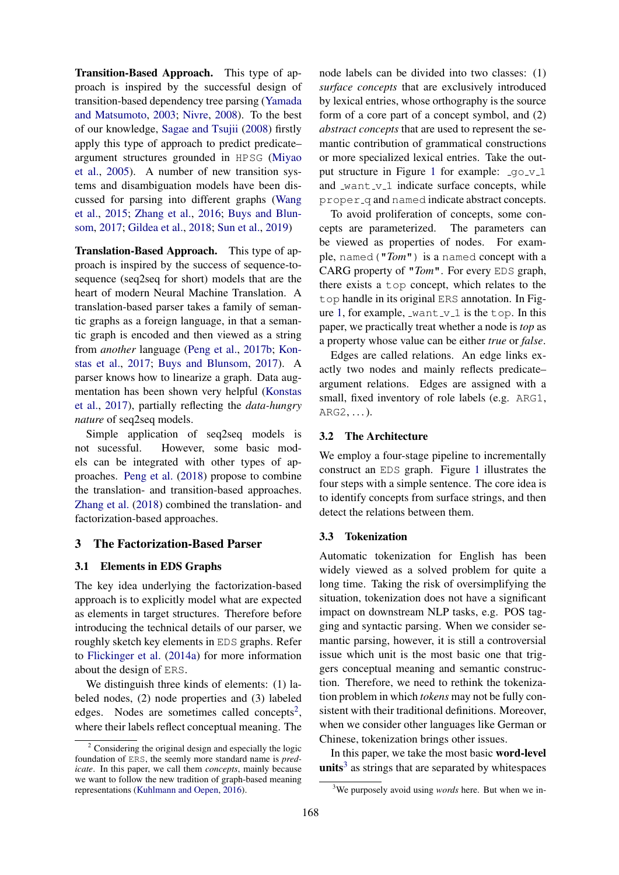Transition-Based Approach. This type of approach is inspired by the successful design of transition-based dependency tree parsing [\(Yamada](#page-9-6) [and Matsumoto,](#page-9-6) [2003;](#page-9-6) [Nivre,](#page-9-7) [2008\)](#page-9-7). To the best of our knowledge, [Sagae and Tsujii](#page-9-8) [\(2008\)](#page-9-8) firstly apply this type of approach to predict predicate– argument structures grounded in HPSG [\(Miyao](#page-9-9) [et al.,](#page-9-9) [2005\)](#page-9-9). A number of new transition systems and disambiguation models have been discussed for parsing into different graphs [\(Wang](#page-9-10) [et al.,](#page-9-10) [2015;](#page-9-10) [Zhang et al.,](#page-10-0) [2016;](#page-10-0) [Buys and Blun](#page-8-10)[som,](#page-8-10) [2017;](#page-8-10) [Gildea et al.,](#page-8-11) [2018;](#page-8-11) [Sun et al.,](#page-9-11) [2019\)](#page-9-11)

Translation-Based Approach. This type of approach is inspired by the success of sequence-tosequence (seq2seq for short) models that are the heart of modern Neural Machine Translation. A translation-based parser takes a family of semantic graphs as a foreign language, in that a semantic graph is encoded and then viewed as a string from *another* language [\(Peng et al.,](#page-9-12) [2017b;](#page-9-12) [Kon](#page-9-13)[stas et al.,](#page-9-13) [2017;](#page-9-13) [Buys and Blunsom,](#page-8-10) [2017\)](#page-8-10). A parser knows how to linearize a graph. Data augmentation has been shown very helpful [\(Konstas](#page-9-13) [et al.,](#page-9-13) [2017\)](#page-9-13), partially reflecting the *data-hungry nature* of seq2seq models.

Simple application of seq2seq models is not sucessful. However, some basic models can be integrated with other types of approaches. [Peng et al.](#page-9-14) [\(2018\)](#page-9-14) propose to combine the translation- and transition-based approaches. [Zhang et al.](#page-9-15) [\(2018\)](#page-9-15) combined the translation- and factorization-based approaches.

# <span id="page-2-0"></span>3 The Factorization-Based Parser

### 3.1 Elements in EDS Graphs

The key idea underlying the factorization-based approach is to explicitly model what are expected as elements in target structures. Therefore before introducing the technical details of our parser, we roughly sketch key elements in EDS graphs. Refer to [Flickinger et al.](#page-8-12) [\(2014a\)](#page-8-12) for more information about the design of ERS.

We distinguish three kinds of elements: (1) labeled nodes, (2) node properties and (3) labeled edges. Nodes are sometimes called concepts<sup>[2](#page-2-1)</sup>, where their labels reflect conceptual meaning. The

node labels can be divided into two classes: (1) *surface concepts* that are exclusively introduced by lexical entries, whose orthography is the source form of a core part of a concept symbol, and (2) *abstract concepts* that are used to represent the semantic contribution of grammatical constructions or more specialized lexical entries. Take the out-put structure in Figure [1](#page-3-0) for example:  $q_0 v_1$ and  $\text{want}_y_1$  indicate surface concepts, while proper q and named indicate abstract concepts.

To avoid proliferation of concepts, some concepts are parameterized. The parameters can be viewed as properties of nodes. For example, named("*Tom*") is a named concept with a CARG property of "*Tom*". For every EDS graph, there exists a top concept, which relates to the top handle in its original ERS annotation. In Fig-ure [1,](#page-3-0) for example,  $\text{want}_y 1$  is the top. In this paper, we practically treat whether a node is *top* as a property whose value can be either *true* or *false*.

Edges are called relations. An edge links exactly two nodes and mainly reflects predicate– argument relations. Edges are assigned with a small, fixed inventory of role labels (e.g. ARG1, ARG2, . . . ).

#### 3.2 The Architecture

We employ a four-stage pipeline to incrementally construct an EDS graph. Figure [1](#page-3-0) illustrates the four steps with a simple sentence. The core idea is to identify concepts from surface strings, and then detect the relations between them.

#### 3.3 Tokenization

Automatic tokenization for English has been widely viewed as a solved problem for quite a long time. Taking the risk of oversimplifying the situation, tokenization does not have a significant impact on downstream NLP tasks, e.g. POS tagging and syntactic parsing. When we consider semantic parsing, however, it is still a controversial issue which unit is the most basic one that triggers conceptual meaning and semantic construction. Therefore, we need to rethink the tokenization problem in which *tokens* may not be fully consistent with their traditional definitions. Moreover, when we consider other languages like German or Chinese, tokenization brings other issues.

In this paper, we take the most basic word-level units<sup>[3](#page-2-2)</sup> as strings that are separated by whitespaces

<span id="page-2-1"></span><sup>2</sup> Considering the original design and especially the logic foundation of ERS, the seemly more standard name is *predicate*. In this paper, we call them *concepts*, mainly because we want to follow the new tradition of graph-based meaning representations [\(Kuhlmann and Oepen,](#page-9-16) [2016\)](#page-9-16).

<span id="page-2-2"></span><sup>3</sup>We purposely avoid using *words* here. But when we in-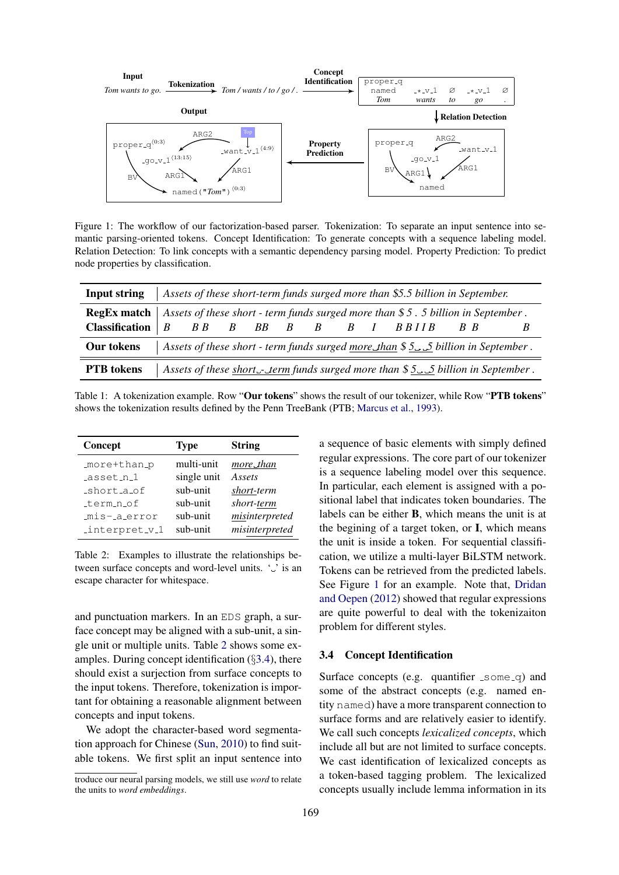<span id="page-3-0"></span>

Figure 1: The workflow of our factorization-based parser. Tokenization: To separate an input sentence into semantic parsing-oriented tokens. Concept Identification: To generate concepts with a sequence labeling model. Relation Detection: To link concepts with a semantic dependency parsing model. Property Prediction: To predict node properties by classification.

<span id="page-3-3"></span>

| Input string                                                                                       |                         |  |  |  | Assets of these short-term funds surged more than \$5.5 billion in September.           |                               |  |
|----------------------------------------------------------------------------------------------------|-------------------------|--|--|--|-----------------------------------------------------------------------------------------|-------------------------------|--|
| <b>RegEx match</b> Assets of these short - term funds surged more than \$5.5 billion in September. |                         |  |  |  |                                                                                         |                               |  |
| <b>Classification</b> $\mid B \mid$                                                                | $B B$ $B$ $B B$ $B$ $B$ |  |  |  | B I BBIIB                                                                               | $\overline{B}$ $\overline{B}$ |  |
| Our tokens                                                                                         |                         |  |  |  | Assets of these short - term funds surged more_than $$55$ billion in September.         |                               |  |
| <b>PTB</b> tokens                                                                                  |                         |  |  |  | Assets of these short $\lnot$ - term funds surged more than \$5.5 billion in September. |                               |  |

Table 1: A tokenization example. Row "Our tokens" shows the result of our tokenizer, while Row "PTB tokens" shows the tokenization results defined by the Penn TreeBank (PTB; [Marcus et al.,](#page-9-17) [1993\)](#page-9-17).

<span id="page-3-1"></span>

| Concept        | <b>Type</b> | <b>String</b>  |
|----------------|-------------|----------------|
| _more+than_p   | multi-unit  | more_than      |
| _asset_n_1     | single unit | Assets         |
| _short_a_of    | sub-unit    | short-term     |
| _term_n_of     | sub-unit    | short-term     |
| mis-aerror     | sub-unit    | misinterpreted |
| _interpret_v_1 | sub-unit    | misinterpreted |

Table 2: Examples to illustrate the relationships between surface concepts and word-level units.  $\cdot \cdot$  is an escape character for whitespace.

and punctuation markers. In an EDS graph, a surface concept may be aligned with a sub-unit, a single unit or multiple units. Table [2](#page-3-1) shows some examples. During concept identification (§[3.4\)](#page-3-2), there should exist a surjection from surface concepts to the input tokens. Therefore, tokenization is important for obtaining a reasonable alignment between concepts and input tokens.

We adopt the character-based word segmentation approach for Chinese [\(Sun,](#page-9-18) [2010\)](#page-9-18) to find suitable tokens. We first split an input sentence into a sequence of basic elements with simply defined regular expressions. The core part of our tokenizer is a sequence labeling model over this sequence. In particular, each element is assigned with a positional label that indicates token boundaries. The labels can be either B, which means the unit is at the begining of a target token, or I, which means the unit is inside a token. For sequential classification, we utilize a multi-layer BiLSTM network. Tokens can be retrieved from the predicted labels. See Figure [1](#page-3-3) for an example. Note that, [Dridan](#page-8-13) [and Oepen](#page-8-13) [\(2012\)](#page-8-13) showed that regular expressions are quite powerful to deal with the tokenizaiton problem for different styles.

#### <span id="page-3-2"></span>3.4 Concept Identification

Surface concepts (e.g. quantifier  $\text{Isomeq}$ ) and some of the abstract concepts (e.g. named entity named) have a more transparent connection to surface forms and are relatively easier to identify. We call such concepts *lexicalized concepts*, which include all but are not limited to surface concepts. We cast identification of lexicalized concepts as a token-based tagging problem. The lexicalized concepts usually include lemma information in its

troduce our neural parsing models, we still use *word* to relate the units to *word embeddings*.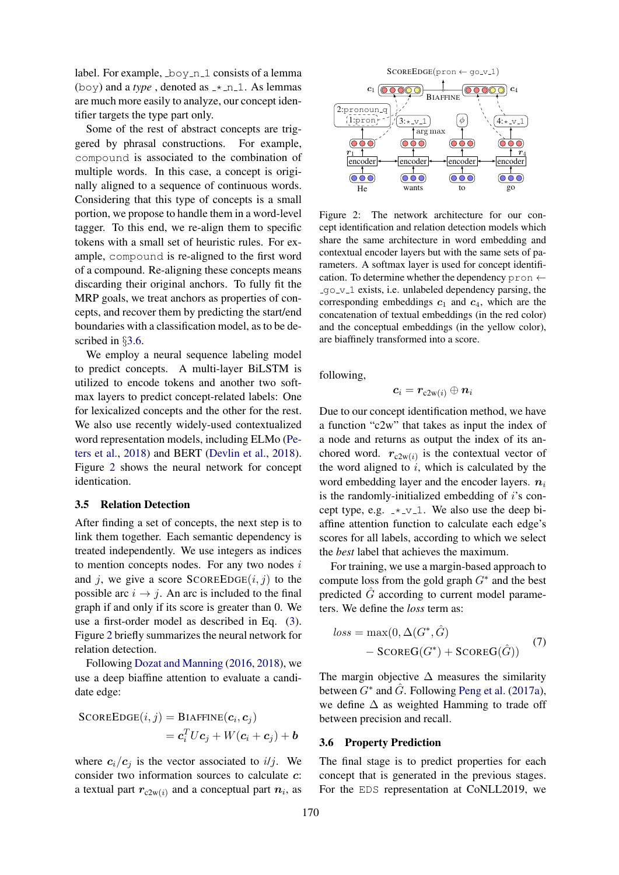label. For example,  $\log_{10} 1$  consists of a lemma (boy) and a *type*, denoted as  $\pm$  n 1. As lemmas are much more easily to analyze, our concept identifier targets the type part only.

Some of the rest of abstract concepts are triggered by phrasal constructions. For example, compound is associated to the combination of multiple words. In this case, a concept is originally aligned to a sequence of continuous words. Considering that this type of concepts is a small portion, we propose to handle them in a word-level tagger. To this end, we re-align them to specific tokens with a small set of heuristic rules. For example, compound is re-aligned to the first word of a compound. Re-aligning these concepts means discarding their original anchors. To fully fit the MRP goals, we treat anchors as properties of concepts, and recover them by predicting the start/end boundaries with a classification model, as to be described in §[3.6.](#page-4-0)

We employ a neural sequence labeling model to predict concepts. A multi-layer BiLSTM is utilized to encode tokens and another two softmax layers to predict concept-related labels: One for lexicalized concepts and the other for the rest. We also use recently widely-used contextualized word representation models, including ELMo [\(Pe](#page-9-19)[ters et al.,](#page-9-19) [2018\)](#page-9-19) and BERT [\(Devlin et al.,](#page-8-14) [2018\)](#page-8-14). Figure [2](#page-4-1) shows the neural network for concept identication.

### <span id="page-4-2"></span>3.5 Relation Detection

After finding a set of concepts, the next step is to link them together. Each semantic dependency is treated independently. We use integers as indices to mention concepts nodes. For any two nodes  $i$ and j, we give a score  $SCOREEDGE(i, j)$  to the possible arc  $i \rightarrow j$ . An arc is included to the final graph if and only if its score is greater than 0. We use a first-order model as described in Eq. [\(3\)](#page-1-1). Figure [2](#page-4-1) briefly summarizes the neural network for relation detection.

Following [Dozat and Manning](#page-8-15) [\(2016,](#page-8-15) [2018\)](#page-8-6), we use a deep biaffine attention to evaluate a candidate edge:

$$
SCOREDGE(i, j) = BIAFFINE(c_i, c_j)
$$
  
= 
$$
c_i^T U c_j + W(c_i + c_j) + b
$$

where  $c_i/c_j$  is the vector associated to i/j. We consider two information sources to calculate c: a textual part  $r_{c2w(i)}$  and a conceptual part  $n_i$ , as

<span id="page-4-1"></span>

Figure 2: The network architecture for our concept identification and relation detection models which share the same architecture in word embedding and contextual encoder layers but with the same sets of parameters. A softmax layer is used for concept identification. To determine whether the dependency pron  $\leftarrow$ go v 1 exists, i.e. unlabeled dependency parsing, the corresponding embeddings  $c_1$  and  $c_4$ , which are the concatenation of textual embeddings (in the red color) and the conceptual embeddings (in the yellow color), are biaffinely transformed into a score.

following,

$$
\boldsymbol{c}_i = \boldsymbol{r}_{\text{c2w}(i)} \oplus \boldsymbol{n}_i
$$

Due to our concept identification method, we have a function "c2w" that takes as input the index of a node and returns as output the index of its anchored word.  $r_{c2w(i)}$  is the contextual vector of the word aligned to  $i$ , which is calculated by the word embedding layer and the encoder layers.  $n_i$ is the randomly-initialized embedding of  $i$ 's concept type, e.g.  $-x_1$ . We also use the deep biaffine attention function to calculate each edge's scores for all labels, according to which we select the *best* label that achieves the maximum.

For training, we use a margin-based approach to compute loss from the gold graph  $G^*$  and the best predicted  $G$  according to current model parameters. We define the *loss* term as:

$$
loss = \max(0, \Delta(G^*, \hat{G})
$$
  
- 
$$
SCOREG(G^*) + SCOREG(\hat{G}))
$$
 (7)

The margin objective  $\Delta$  measures the similarity between  $G^*$  and  $\hat{G}$ . Following [Peng et al.](#page-9-20) [\(2017a\)](#page-9-20), we define ∆ as weighted Hamming to trade off between precision and recall.

#### <span id="page-4-0"></span>3.6 Property Prediction

The final stage is to predict properties for each concept that is generated in the previous stages. For the EDS representation at CoNLL2019, we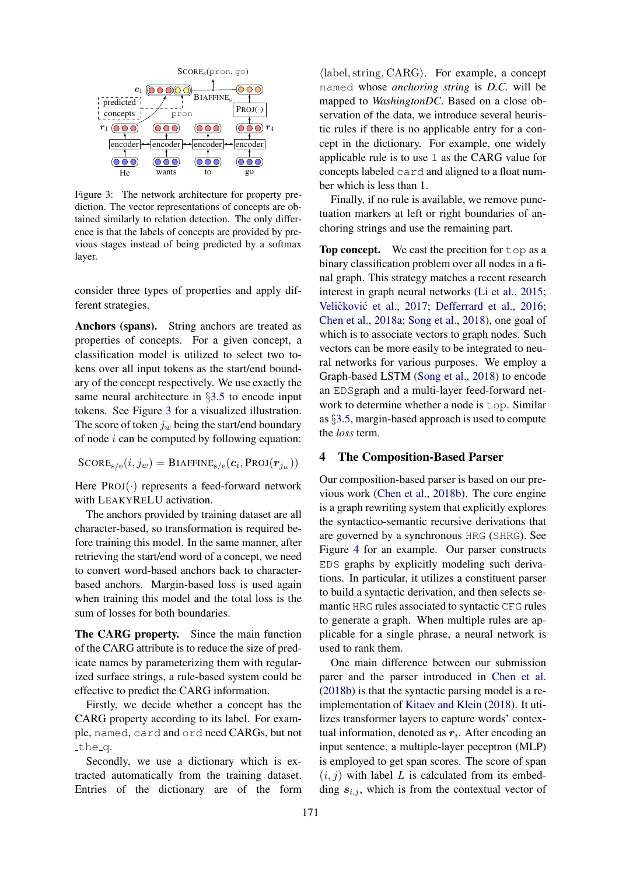<span id="page-5-1"></span>

Figure 3: The network architecture for property prediction. The vector representations of concepts are obtained similarly to relation detection. The only difference is that the labels of concepts are provided by previous stages instead of being predicted by a softmax layer.

consider three types of properties and apply different strategies.

Anchors (spans). String anchors are treated as properties of concepts. For a given concept, a classification model is utilized to select two tokens over all input tokens as the start/end boundary of the concept respectively. We use exactly the same neural architecture in §[3.5](#page-4-2) to encode input tokens. See Figure [3](#page-5-1) for a visualized illustration. The score of token  $j_w$  being the start/end boundary of node  $i$  can be computed by following equation:

 $\text{SCORE}_{\text{s/e}}(i,j_w) = \text{BIAFFINE}_{\text{s/e}}(\boldsymbol{c}_i,\text{PROJ}(\boldsymbol{r}_{j_w}))$ 

Here  $PROJ(\cdot)$  represents a feed-forward network with LEAKYRELU activation.

The anchors provided by training dataset are all character-based, so transformation is required before training this model. In the same manner, after retrieving the start/end word of a concept, we need to convert word-based anchors back to characterbased anchors. Margin-based loss is used again when training this model and the total loss is the sum of losses for both boundaries.

The CARG property. Since the main function of the CARG attribute is to reduce the size of predicate names by parameterizing them with regularized surface strings, a rule-based system could be effective to predict the CARG information.

Firstly, we decide whether a concept has the CARG property according to its label. For example, named, card and ord need CARGs, but not the<sub>-q</sub>.

Secondly, we use a dictionary which is extracted automatically from the training dataset. Entries of the dictionary are of the form

 $\langle$ label, string, CARG $\rangle$ . For example, a concept named whose *anchoring string* is *D.C.* will be mapped to *WashingtonDC*. Based on a close observation of the data, we introduce several heuristic rules if there is no applicable entry for a concept in the dictionary. For example, one widely applicable rule is to use 1 as the CARG value for concepts labeled card and aligned to a float number which is less than 1.

Finally, if no rule is available, we remove punctuation markers at left or right boundaries of anchoring strings and use the remaining part.

Top concept. We cast the precition for top as a binary classification problem over all nodes in a final graph. This strategy matches a recent research interest in graph neural networks [\(Li et al.,](#page-9-21) [2015;](#page-9-21) Veličković et al., [2017;](#page-9-22) [Defferrard et al.,](#page-8-16) [2016;](#page-8-16) [Chen et al.,](#page-8-17) [2018a;](#page-8-17) [Song et al.,](#page-9-23) [2018\)](#page-9-23), one goal of which is to associate vectors to graph nodes. Such vectors can be more easily to be integrated to neural networks for various purposes. We employ a Graph-based LSTM [\(Song et al.,](#page-9-23) [2018\)](#page-9-23) to encode an EDSgraph and a multi-layer feed-forward network to determine whether a node is top. Similar as §[3.5,](#page-4-2) margin-based approach is used to compute the *loss* term.

### <span id="page-5-0"></span>4 The Composition-Based Parser

Our composition-based parser is based on our previous work [\(Chen et al.,](#page-8-3) [2018b\)](#page-8-3). The core engine is a graph rewriting system that explicitly explores the syntactico-semantic recursive derivations that are governed by a synchronous HRG (SHRG). See Figure [4](#page-6-0) for an example. Our parser constructs EDS graphs by explicitly modeling such derivations. In particular, it utilizes a constituent parser to build a syntactic derivation, and then selects semantic HRG rules associated to syntactic CFG rules to generate a graph. When multiple rules are applicable for a single phrase, a neural network is used to rank them.

One main difference between our submission parer and the parser introduced in [Chen et al.](#page-8-3) [\(2018b\)](#page-8-3) is that the syntactic parsing model is a reimplementation of [Kitaev and Klein](#page-8-18) [\(2018\)](#page-8-18). It utilizes transformer layers to capture words' contextual information, denoted as  $r_i$ . After encoding an input sentence, a multiple-layer peceptron (MLP) is employed to get span scores. The score of span  $(i, j)$  with label L is calculated from its embedding  $s_{i,j}$ , which is from the contextual vector of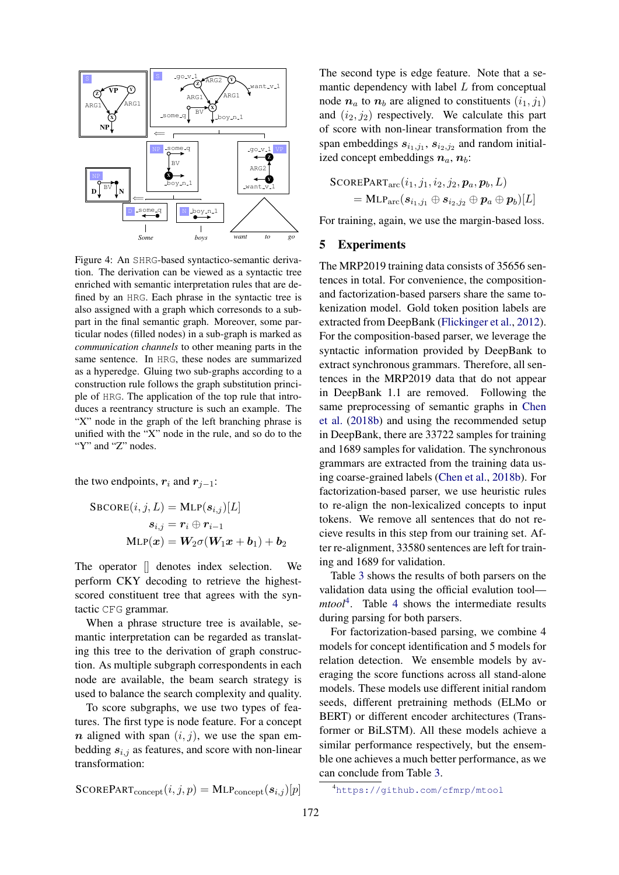<span id="page-6-0"></span>

Figure 4: An SHRG-based syntactico-semantic derivation. The derivation can be viewed as a syntactic tree enriched with semantic interpretation rules that are defined by an HRG. Each phrase in the syntactic tree is also assigned with a graph which corresonds to a subpart in the final semantic graph. Moreover, some particular nodes (filled nodes) in a sub-graph is marked as *communication channels* to other meaning parts in the same sentence. In HRG, these nodes are summarized as a hyperedge. Gluing two sub-graphs according to a construction rule follows the graph substitution principle of HRG. The application of the top rule that introduces a reentrancy structure is such an example. The "X" node in the graph of the left branching phrase is unified with the "X" node in the rule, and so do to the "Y" and "Z" nodes.

the two endpoints,  $r_i$  and  $r_{j-1}$ :

$$
\begin{aligned} \texttt{SBCORE}(i,j,L) &= \text{MLP}(\boldsymbol{s}_{i,j})[L] \\ \boldsymbol{s}_{i,j} &= \boldsymbol{r}_i \oplus \boldsymbol{r}_{i-1} \\ \texttt{MLP}(\boldsymbol{x}) &= \boldsymbol{W}_2 \sigma(\boldsymbol{W}_1 \boldsymbol{x} + \boldsymbol{b}_1) + \boldsymbol{b}_2 \end{aligned}
$$

The operator [] denotes index selection. We perform CKY decoding to retrieve the highestscored constituent tree that agrees with the syntactic CFG grammar.

When a phrase structure tree is available, semantic interpretation can be regarded as translating this tree to the derivation of graph construction. As multiple subgraph correspondents in each node are available, the beam search strategy is used to balance the search complexity and quality.

To score subgraphs, we use two types of features. The first type is node feature. For a concept  $n$  aligned with span  $(i, j)$ , we use the span embedding  $s_{i,j}$  as features, and score with non-linear transformation:

 $\text{SCOREPART}_{\text{concent}}(i, j, p) = \text{MLP}_{\text{concent}}(s_{i,j})[p]$ 

The second type is edge feature. Note that a semantic dependency with label  $L$  from conceptual node  $n_a$  to  $n_b$  are aligned to constituents  $(i_1, j_1)$ and  $(i_2, j_2)$  respectively. We calculate this part of score with non-linear transformation from the span embeddings  $s_{i_1,j_1}, s_{i_2,j_2}$  and random initialized concept embeddings  $n_a$ ,  $n_b$ :

$$
\begin{aligned} \text{SCOREPART}_{\text{arc}}&(i_1, j_1, i_2, j_2, \boldsymbol{p}_a, \boldsymbol{p}_b, L) \\ & = \text{MLP}_{\text{arc}}(\boldsymbol{s}_{i_1, j_1} \oplus \boldsymbol{s}_{i_2, j_2} \oplus \boldsymbol{p}_a \oplus \boldsymbol{p}_b)[L] \end{aligned}
$$

For training, again, we use the margin-based loss.

### 5 Experiments

The MRP2019 training data consists of 35656 sentences in total. For convenience, the compositionand factorization-based parsers share the same tokenization model. Gold token position labels are extracted from DeepBank [\(Flickinger et al.,](#page-8-19) [2012\)](#page-8-19). For the composition-based parser, we leverage the syntactic information provided by DeepBank to extract synchronous grammars. Therefore, all sentences in the MRP2019 data that do not appear in DeepBank 1.1 are removed. Following the same preprocessing of semantic graphs in [Chen](#page-8-3) [et al.](#page-8-3) [\(2018b\)](#page-8-3) and using the recommended setup in DeepBank, there are 33722 samples for training and 1689 samples for validation. The synchronous grammars are extracted from the training data using coarse-grained labels [\(Chen et al.,](#page-8-3) [2018b\)](#page-8-3). For factorization-based parser, we use heuristic rules to re-align the non-lexicalized concepts to input tokens. We remove all sentences that do not recieve results in this step from our training set. After re-alignment, 33580 sentences are left for training and 1689 for validation.

Table [3](#page-7-0) shows the results of both parsers on the validation data using the official evalution tool *mtool*[4](#page-6-1) . Table [4](#page-7-1) shows the intermediate results during parsing for both parsers.

For factorization-based parsing, we combine 4 models for concept identification and 5 models for relation detection. We ensemble models by averaging the score functions across all stand-alone models. These models use different initial random seeds, different pretraining methods (ELMo or BERT) or different encoder architectures (Transformer or BiLSTM). All these models achieve a similar performance respectively, but the ensemble one achieves a much better performance, as we can conclude from Table [3.](#page-7-0)

<span id="page-6-1"></span><sup>4</sup><https://github.com/cfmrp/mtool>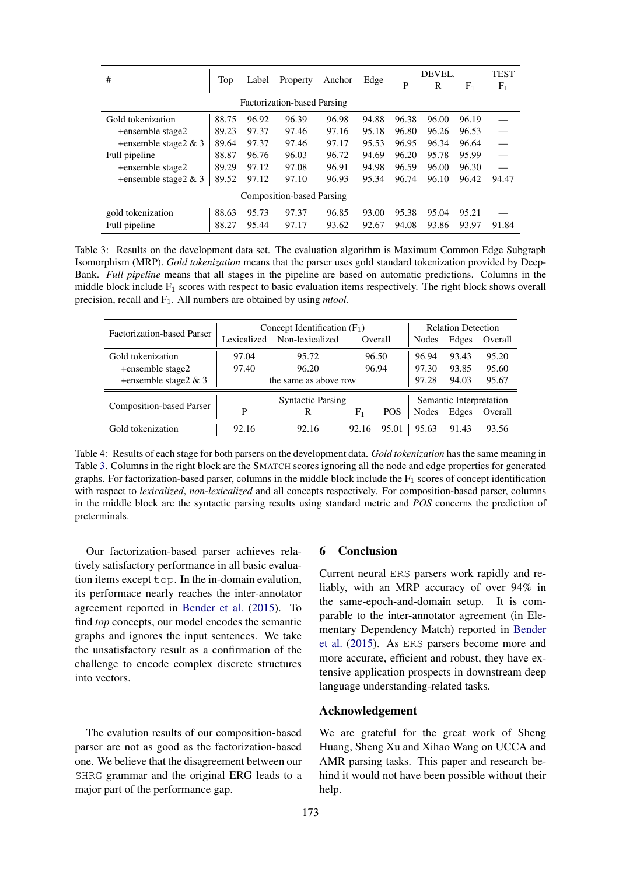<span id="page-7-0"></span>

| #                                  | Top   | Label | Property | Anchor | Edge  | DEVEL. |       |           | <b>TEST</b>    |
|------------------------------------|-------|-------|----------|--------|-------|--------|-------|-----------|----------------|
|                                    |       |       |          |        |       | P      | R     | $\rm F_1$ | F <sub>1</sub> |
| <b>Factorization-based Parsing</b> |       |       |          |        |       |        |       |           |                |
| Gold tokenization                  | 88.75 | 96.92 | 96.39    | 96.98  | 94.88 | 96.38  | 96.00 | 96.19     |                |
| +ensemble stage2                   | 89.23 | 97.37 | 97.46    | 97.16  | 95.18 | 96.80  | 96.26 | 96.53     |                |
| +ensemble stage $2 & 3$            | 89.64 | 97.37 | 97.46    | 97.17  | 95.53 | 96.95  | 96.34 | 96.64     |                |
| Full pipeline                      | 88.87 | 96.76 | 96.03    | 96.72  | 94.69 | 96.20  | 95.78 | 95.99     |                |
| +ensemble stage2                   | 89.29 | 97.12 | 97.08    | 96.91  | 94.98 | 96.59  | 96.00 | 96.30     |                |
| +ensemble stage $2 \& 3$           | 89.52 | 97.12 | 97.10    | 96.93  | 95.34 | 96.74  | 96.10 | 96.42     | 94.47          |
| <b>Composition-based Parsing</b>   |       |       |          |        |       |        |       |           |                |
| gold tokenization                  | 88.63 | 95.73 | 97.37    | 96.85  | 93.00 | 95.38  | 95.04 | 95.21     |                |
| Full pipeline                      | 88.27 | 95.44 | 97.17    | 93.62  | 92.67 | 94.08  | 93.86 | 93.97     | 91.84          |

Table 3: Results on the development data set. The evaluation algorithm is Maximum Common Edge Subgraph Isomorphism (MRP). *Gold tokenization* means that the parser uses gold standard tokenization provided by Deep-Bank. *Full pipeline* means that all stages in the pipeline are based on automatic predictions. Columns in the middle block include  $F_1$  scores with respect to basic evaluation items respectively. The right block shows overall precision, recall and F1. All numbers are obtained by using *mtool*.

<span id="page-7-1"></span>

| <b>Factorization-based Parser</b> |             | Concept Identification $(F_1)$ | <b>Relation Detection</b> |            |       |                         |         |  |  |
|-----------------------------------|-------------|--------------------------------|---------------------------|------------|-------|-------------------------|---------|--|--|
|                                   | Lexicalized | Non-lexicalized                | Overall                   |            | Nodes | Edges                   | Overall |  |  |
| Gold tokenization                 | 97.04       | 95.72                          | 96.50                     |            | 96.94 | 93.43                   | 95.20   |  |  |
| +ensemble stage2                  | 97.40       | 96.20                          |                           | 96.94      |       | 93.85                   | 95.60   |  |  |
| +ensemble stage2 & 3              |             | the same as above row          |                           |            | 97.28 | 94.03<br>95.67          |         |  |  |
|                                   |             | <b>Syntactic Parsing</b>       |                           |            |       | Semantic Interpretation |         |  |  |
| <b>Composition-based Parser</b>   | P           | R                              | ${\rm F_1}$               | <b>POS</b> | Nodes | Edges                   | Overall |  |  |
| Gold tokenization                 | 92.16       | 92.16                          | 92.16                     | 95.01      | 95.63 | 91.43                   | 93.56   |  |  |

Table 4: Results of each stage for both parsers on the development data. *Gold tokenization* has the same meaning in Table [3.](#page-7-0) Columns in the right block are the SMATCH scores ignoring all the node and edge properties for generated graphs. For factorization-based parser, columns in the middle block include the  $F_1$  scores of concept identification with respect to *lexicalized*, *non-lexicalized* and all concepts respectively. For composition-based parser, columns in the middle block are the syntactic parsing results using standard metric and *POS* concerns the prediction of preterminals.

Our factorization-based parser achieves relatively satisfactory performance in all basic evaluation items except top. In the in-domain evalution, its performace nearly reaches the inter-annotator agreement reported in [Bender et al.](#page-8-5) [\(2015\)](#page-8-5). To find *top* concepts, our model encodes the semantic graphs and ignores the input sentences. We take the unsatisfactory result as a confirmation of the challenge to encode complex discrete structures into vectors.

The evalution results of our composition-based parser are not as good as the factorization-based one. We believe that the disagreement between our SHRG grammar and the original ERG leads to a major part of the performance gap.

## 6 Conclusion

Current neural ERS parsers work rapidly and reliably, with an MRP accuracy of over 94% in the same-epoch-and-domain setup. It is comparable to the inter-annotator agreement (in Elementary Dependency Match) reported in [Bender](#page-8-5) [et al.](#page-8-5) [\(2015\)](#page-8-5). As ERS parsers become more and more accurate, efficient and robust, they have extensive application prospects in downstream deep language understanding-related tasks.

# Acknowledgement

We are grateful for the great work of Sheng Huang, Sheng Xu and Xihao Wang on UCCA and AMR parsing tasks. This paper and research behind it would not have been possible without their help.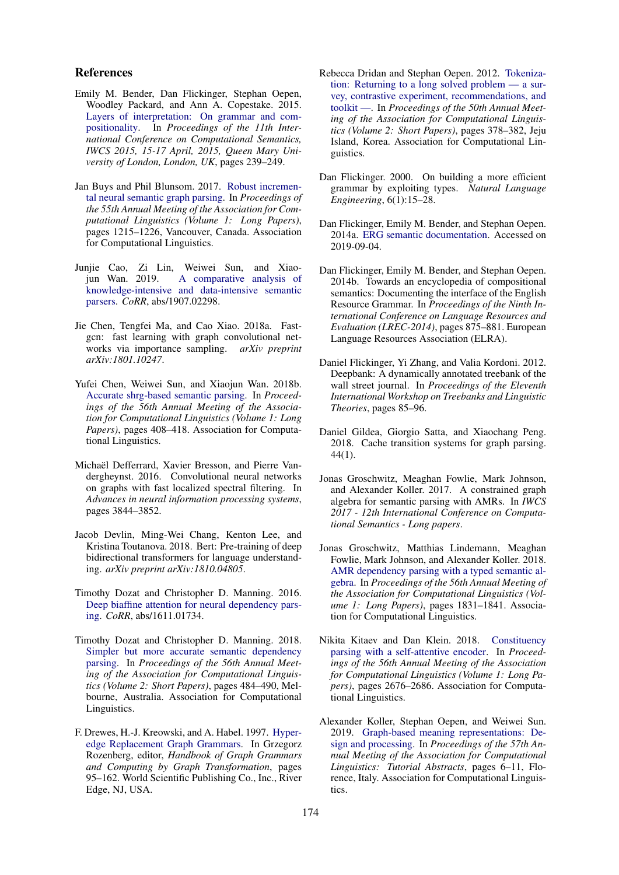#### References

- <span id="page-8-5"></span>Emily M. Bender, Dan Flickinger, Stephan Oepen, Woodley Packard, and Ann A. Copestake. 2015. [Layers of interpretation: On grammar and com](http://aclweb.org/anthology/W/W15/W15-0128.pdf)[positionality.](http://aclweb.org/anthology/W/W15/W15-0128.pdf) In *Proceedings of the 11th International Conference on Computational Semantics, IWCS 2015, 15-17 April, 2015, Queen Mary University of London, London, UK*, pages 239–249.
- <span id="page-8-10"></span>Jan Buys and Phil Blunsom. 2017. [Robust incremen](http://aclweb.org/anthology/P17-1112)[tal neural semantic graph parsing.](http://aclweb.org/anthology/P17-1112) In *Proceedings of the 55th Annual Meeting of the Association for Computational Linguistics (Volume 1: Long Papers)*, pages 1215–1226, Vancouver, Canada. Association for Computational Linguistics.
- <span id="page-8-4"></span>Junjie Cao, Zi Lin, Weiwei Sun, and Xiao-[A comparative analysis of](http://arxiv.org/abs/1907.02298) [knowledge-intensive and data-intensive semantic](http://arxiv.org/abs/1907.02298) [parsers.](http://arxiv.org/abs/1907.02298) *CoRR*, abs/1907.02298.
- <span id="page-8-17"></span>Jie Chen, Tengfei Ma, and Cao Xiao. 2018a. Fastgcn: fast learning with graph convolutional networks via importance sampling. *arXiv preprint arXiv:1801.10247*.
- <span id="page-8-3"></span>Yufei Chen, Weiwei Sun, and Xiaojun Wan. 2018b. [Accurate shrg-based semantic parsing.](http://aclweb.org/anthology/P18-1038) In *Proceedings of the 56th Annual Meeting of the Association for Computational Linguistics (Volume 1: Long Papers)*, pages 408–418. Association for Computational Linguistics.
- <span id="page-8-16"></span>Michaël Defferrard, Xavier Bresson, and Pierre Vandergheynst. 2016. Convolutional neural networks on graphs with fast localized spectral filtering. In *Advances in neural information processing systems*, pages 3844–3852.
- <span id="page-8-14"></span>Jacob Devlin, Ming-Wei Chang, Kenton Lee, and Kristina Toutanova. 2018. Bert: Pre-training of deep bidirectional transformers for language understanding. *arXiv preprint arXiv:1810.04805*.
- <span id="page-8-15"></span>Timothy Dozat and Christopher D. Manning. 2016. [Deep biaffine attention for neural dependency pars](http://arxiv.org/abs/1611.01734)[ing.](http://arxiv.org/abs/1611.01734) *CoRR*, abs/1611.01734.
- <span id="page-8-6"></span>Timothy Dozat and Christopher D. Manning. 2018. [Simpler but more accurate semantic dependency](https://doi.org/10.18653/v1/P18-2077) [parsing.](https://doi.org/10.18653/v1/P18-2077) In *Proceedings of the 56th Annual Meeting of the Association for Computational Linguistics (Volume 2: Short Papers)*, pages 484–490, Melbourne, Australia. Association for Computational Linguistics.
- <span id="page-8-7"></span>F. Drewes, H.-J. Kreowski, and A. Habel. 1997. [Hyper](http://dl.acm.org/citation.cfm?id=278918.278927)[edge Replacement Graph Grammars.](http://dl.acm.org/citation.cfm?id=278918.278927) In Grzegorz Rozenberg, editor, *Handbook of Graph Grammars and Computing by Graph Transformation*, pages 95–162. World Scientific Publishing Co., Inc., River Edge, NJ, USA.
- <span id="page-8-13"></span>Rebecca Dridan and Stephan Oepen. 2012. [Tokeniza](https://www.aclweb.org/anthology/P12-2074)[tion: Returning to a long solved problem — a sur](https://www.aclweb.org/anthology/P12-2074)[vey, contrastive experiment, recommendations, and](https://www.aclweb.org/anthology/P12-2074) [toolkit —.](https://www.aclweb.org/anthology/P12-2074) In *Proceedings of the 50th Annual Meeting of the Association for Computational Linguistics (Volume 2: Short Papers)*, pages 378–382, Jeju Island, Korea. Association for Computational Linguistics.
- <span id="page-8-1"></span>Dan Flickinger. 2000. On building a more efficient grammar by exploiting types. *Natural Language Engineering*, 6(1):15–28.
- <span id="page-8-12"></span>Dan Flickinger, Emily M. Bender, and Stephan Oepen. 2014a. [ERG semantic documentation.](http://www.delph-in.net/esd) Accessed on 2019-09-04.
- <span id="page-8-0"></span>Dan Flickinger, Emily M. Bender, and Stephan Oepen. 2014b. Towards an encyclopedia of compositional semantics: Documenting the interface of the English Resource Grammar. In *Proceedings of the Ninth International Conference on Language Resources and Evaluation (LREC-2014)*, pages 875–881. European Language Resources Association (ELRA).
- <span id="page-8-19"></span>Daniel Flickinger, Yi Zhang, and Valia Kordoni. 2012. Deepbank: A dynamically annotated treebank of the wall street journal. In *Proceedings of the Eleventh International Workshop on Treebanks and Linguistic Theories*, pages 85–96.
- <span id="page-8-11"></span>Daniel Gildea, Giorgio Satta, and Xiaochang Peng. 2018. Cache transition systems for graph parsing. 44(1).
- <span id="page-8-8"></span>Jonas Groschwitz, Meaghan Fowlie, Mark Johnson, and Alexander Koller. 2017. A constrained graph algebra for semantic parsing with AMRs. In *IWCS 2017 - 12th International Conference on Computational Semantics - Long papers*.
- <span id="page-8-9"></span>Jonas Groschwitz, Matthias Lindemann, Meaghan Fowlie, Mark Johnson, and Alexander Koller. 2018. [AMR dependency parsing with a typed semantic al](http://aclweb.org/anthology/P18-1170)[gebra.](http://aclweb.org/anthology/P18-1170) In *Proceedings of the 56th Annual Meeting of the Association for Computational Linguistics (Volume 1: Long Papers)*, pages 1831–1841. Association for Computational Linguistics.
- <span id="page-8-18"></span>Nikita Kitaev and Dan Klein. 2018. [Constituency](http://aclweb.org/anthology/P18-1249) [parsing with a self-attentive encoder.](http://aclweb.org/anthology/P18-1249) In *Proceedings of the 56th Annual Meeting of the Association for Computational Linguistics (Volume 1: Long Papers)*, pages 2676–2686. Association for Computational Linguistics.
- <span id="page-8-2"></span>Alexander Koller, Stephan Oepen, and Weiwei Sun. 2019. [Graph-based meaning representations: De](https://www.aclweb.org/anthology/P19-4002)[sign and processing.](https://www.aclweb.org/anthology/P19-4002) In *Proceedings of the 57th Annual Meeting of the Association for Computational Linguistics: Tutorial Abstracts*, pages 6–11, Florence, Italy. Association for Computational Linguistics.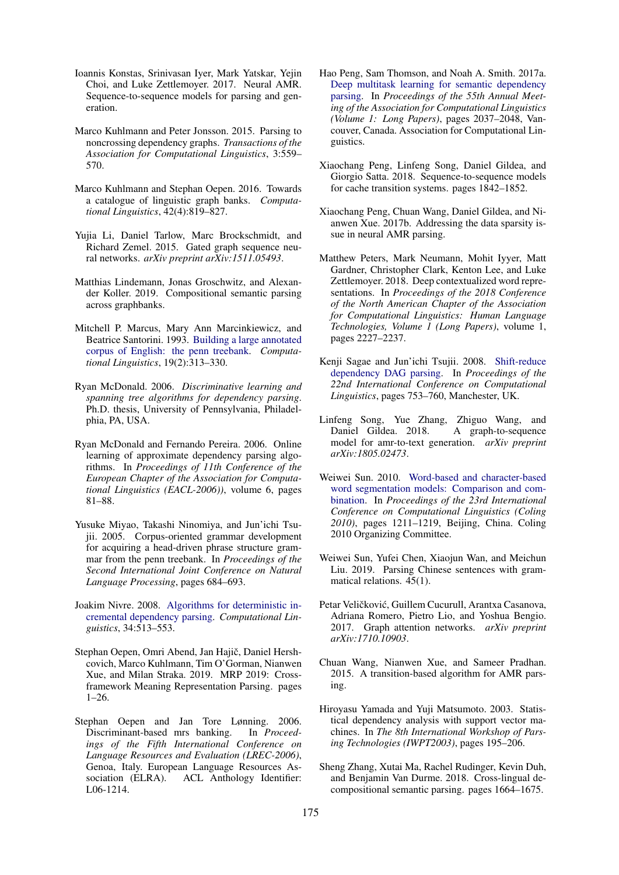- <span id="page-9-13"></span>Ioannis Konstas, Srinivasan Iyer, Mark Yatskar, Yejin Choi, and Luke Zettlemoyer. 2017. Neural AMR. Sequence-to-sequence models for parsing and generation.
- <span id="page-9-4"></span>Marco Kuhlmann and Peter Jonsson. 2015. Parsing to noncrossing dependency graphs. *Transactions of the Association for Computational Linguistics*, 3:559– 570.
- <span id="page-9-16"></span>Marco Kuhlmann and Stephan Oepen. 2016. Towards a catalogue of linguistic graph banks. *Computational Linguistics*, 42(4):819–827.
- <span id="page-9-21"></span>Yujia Li, Daniel Tarlow, Marc Brockschmidt, and Richard Zemel. 2015. Gated graph sequence neural networks. *arXiv preprint arXiv:1511.05493*.
- <span id="page-9-5"></span>Matthias Lindemann, Jonas Groschwitz, and Alexander Koller. 2019. Compositional semantic parsing across graphbanks.
- <span id="page-9-17"></span>Mitchell P. Marcus, Mary Ann Marcinkiewicz, and Beatrice Santorini. 1993. [Building a large annotated](http://dl.acm.org/citation.cfm?id=972470.972475) [corpus of English: the penn treebank.](http://dl.acm.org/citation.cfm?id=972470.972475) *Computational Linguistics*, 19(2):313–330.
- <span id="page-9-2"></span>Ryan McDonald. 2006. *Discriminative learning and spanning tree algorithms for dependency parsing*. Ph.D. thesis, University of Pennsylvania, Philadelphia, PA, USA.
- <span id="page-9-3"></span>Ryan McDonald and Fernando Pereira. 2006. Online learning of approximate dependency parsing algorithms. In *Proceedings of 11th Conference of the European Chapter of the Association for Computational Linguistics (EACL-2006))*, volume 6, pages 81–88.
- <span id="page-9-9"></span>Yusuke Miyao, Takashi Ninomiya, and Jun'ichi Tsujii. 2005. Corpus-oriented grammar development for acquiring a head-driven phrase structure grammar from the penn treebank. In *Proceedings of the Second International Joint Conference on Natural Language Processing*, pages 684–693.
- <span id="page-9-7"></span>Joakim Nivre. 2008. [Algorithms for deterministic in](https://doi.org/http://dx.doi.org/10.1162/coli.07-056-R1-07-027)[cremental dependency parsing.](https://doi.org/http://dx.doi.org/10.1162/coli.07-056-R1-07-027) *Computational Linguistics*, 34:513–553.
- <span id="page-9-0"></span>Stephan Oepen, Omri Abend, Jan Hajič, Daniel Hershcovich, Marco Kuhlmann, Tim O'Gorman, Nianwen Xue, and Milan Straka. 2019. MRP 2019: Crossframework Meaning Representation Parsing. pages 1–26.
- <span id="page-9-1"></span>Stephan Oepen and Jan Tore Lønning. 2006. Discriminant-based mrs banking. In *Proceedings of the Fifth International Conference on Language Resources and Evaluation (LREC-2006)*, Genoa, Italy. European Language Resources Association (ELRA). ACL Anthology Identifier: L06-1214.
- <span id="page-9-20"></span>Hao Peng, Sam Thomson, and Noah A. Smith. 2017a. [Deep multitask learning for semantic dependency](http://aclweb.org/anthology/P17-1186) [parsing.](http://aclweb.org/anthology/P17-1186) In *Proceedings of the 55th Annual Meeting of the Association for Computational Linguistics (Volume 1: Long Papers)*, pages 2037–2048, Vancouver, Canada. Association for Computational Linguistics.
- <span id="page-9-14"></span>Xiaochang Peng, Linfeng Song, Daniel Gildea, and Giorgio Satta. 2018. Sequence-to-sequence models for cache transition systems. pages 1842–1852.
- <span id="page-9-12"></span>Xiaochang Peng, Chuan Wang, Daniel Gildea, and Nianwen Xue. 2017b. Addressing the data sparsity issue in neural AMR parsing.
- <span id="page-9-19"></span>Matthew Peters, Mark Neumann, Mohit Iyyer, Matt Gardner, Christopher Clark, Kenton Lee, and Luke Zettlemoyer. 2018. Deep contextualized word representations. In *Proceedings of the 2018 Conference of the North American Chapter of the Association for Computational Linguistics: Human Language Technologies, Volume 1 (Long Papers)*, volume 1, pages 2227–2237.
- <span id="page-9-8"></span>Kenji Sagae and Jun'ichi Tsujii. 2008. [Shift-reduce](http://www.aclweb.org/anthology/C08-1095) [dependency DAG parsing.](http://www.aclweb.org/anthology/C08-1095) In *Proceedings of the 22nd International Conference on Computational Linguistics*, pages 753–760, Manchester, UK.
- <span id="page-9-23"></span>Linfeng Song, Yue Zhang, Zhiguo Wang, and Daniel Gildea. 2018. A graph-to-sequence model for amr-to-text generation. *arXiv preprint arXiv:1805.02473*.
- <span id="page-9-18"></span>Weiwei Sun. 2010. [Word-based and character-based](http://www.aclweb.org/anthology/C10-2139) [word segmentation models: Comparison and com](http://www.aclweb.org/anthology/C10-2139)[bination.](http://www.aclweb.org/anthology/C10-2139) In *Proceedings of the 23rd International Conference on Computational Linguistics (Coling 2010)*, pages 1211–1219, Beijing, China. Coling 2010 Organizing Committee.
- <span id="page-9-11"></span>Weiwei Sun, Yufei Chen, Xiaojun Wan, and Meichun Liu. 2019. Parsing Chinese sentences with grammatical relations. 45(1).
- <span id="page-9-22"></span>Petar Veličković, Guillem Cucurull, Arantxa Casanova, Adriana Romero, Pietro Lio, and Yoshua Bengio. 2017. Graph attention networks. *arXiv preprint arXiv:1710.10903*.
- <span id="page-9-10"></span>Chuan Wang, Nianwen Xue, and Sameer Pradhan. 2015. A transition-based algorithm for AMR parsing.
- <span id="page-9-6"></span>Hiroyasu Yamada and Yuji Matsumoto. 2003. Statistical dependency analysis with support vector machines. In *The 8th International Workshop of Parsing Technologies (IWPT2003)*, pages 195–206.
- <span id="page-9-15"></span>Sheng Zhang, Xutai Ma, Rachel Rudinger, Kevin Duh, and Benjamin Van Durme. 2018. Cross-lingual decompositional semantic parsing. pages 1664–1675.